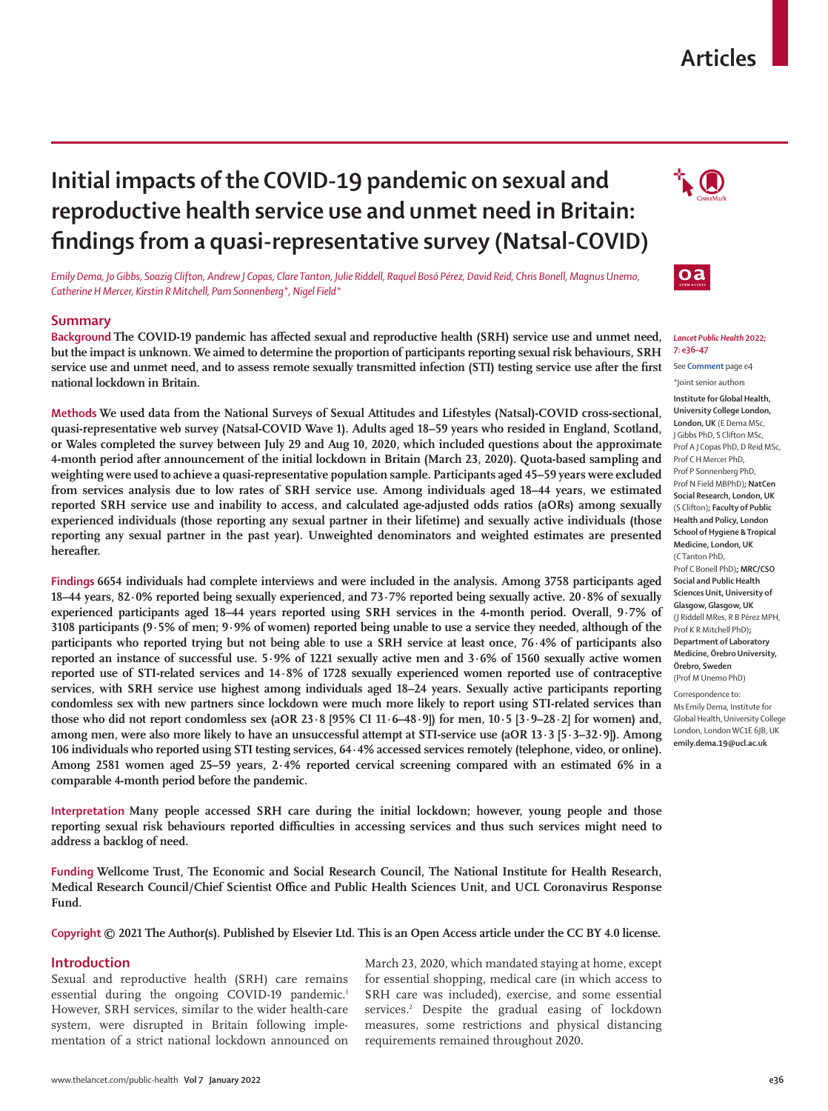## **Articles**

# **Initial impacts of the COVID-19 pandemic on sexual and reproductive health service use and unmet need in Britain: findings from a quasi-representative survey (Natsal-COVID)**

*Emily Dema, Jo Gibbs, Soazig Clifton, Andrew J Copas, Clare Tanton, Julie Riddell, Raquel Bosó Pérez, David Reid, Chris Bonell, Magnus Unemo, Catherine H Mercer, Kirstin R Mitchell, Pam Sonnenberg\*, Nigel Field\**

## **Summary**

**Background The COVID-19 pandemic has affected sexual and reproductive health (SRH) service use and unmet need, but the impact is unknown. We aimed to determine the proportion of participants reporting sexual risk behaviours, SRH service use and unmet need, and to assess remote sexually transmitted infection (STI) testing service use after the first national lockdown in Britain.**

**Methods We used data from the National Surveys of Sexual Attitudes and Lifestyles (Natsal)-COVID cross-sectional, quasi-representative web survey (Natsal-COVID Wave 1). Adults aged 18–59 years who resided in England, Scotland, or Wales completed the survey between July 29 and Aug 10, 2020, which included questions about the approximate 4-month period after announcement of the initial lockdown in Britain (March 23, 2020). Quota-based sampling and weighting were used to achieve a quasi-representative population sample. Participants aged 45–59 years were excluded from services analysis due to low rates of SRH service use. Among individuals aged 18–44 years, we estimated reported SRH service use and inability to access, and calculated age-adjusted odds ratios (aORs) among sexually experienced individuals (those reporting any sexual partner in their lifetime) and sexually active individuals (those reporting any sexual partner in the past year). Unweighted denominators and weighted estimates are presented hereafter.**

**Findings 6654 individuals had complete interviews and were included in the analysis. Among 3758 participants aged 18–44 years, 82·0% reported being sexually experienced, and 73·7% reported being sexually active. 20·8% of sexually experienced participants aged 18–44 years reported using SRH services in the 4-month period. Overall, 9·7% of 3108 participants (9·5% of men; 9·9% of women) reported being unable to use a service they needed, although of the participants who reported trying but not being able to use a SRH service at least once, 76·4% of participants also reported an instance of successful use. 5·9% of 1221 sexually active men and 3·6% of 1560 sexually active women reported use of STI-related services and 14·8% of 1728 sexually experienced women reported use of contraceptive services, with SRH service use highest among individuals aged 18–24 years. Sexually active participants reporting condomless sex with new partners since lockdown were much more likely to report using STI-related services than those who did not report condomless sex (aOR 23·8 [95% CI 11·6–48·9]) for men, 10·5 [3·9–28·2] for women) and, among men, were also more likely to have an unsuccessful attempt at STI-service use (aOR 13·3 [5·3–32·9]). Among 106 individuals who reported using STI testing services, 64·4% accessed services remotely (telephone, video, or online). Among 2581 women aged 25–59 years, 2·4% reported cervical screening compared with an estimated 6% in a comparable 4-month period before the pandemic.**

**Interpretation Many people accessed SRH care during the initial lockdown; however, young people and those reporting sexual risk behaviours reported difficulties in accessing services and thus such services might need to address a backlog of need.**

**Funding Wellcome Trust, The Economic and Social Research Council, The National Institute for Health Research, Medical Research Council/Chief Scientist Office and Public Health Sciences Unit, and UCL Coronavirus Response Fund.**

**Copyright © 2021 The Author(s). Published by Elsevier Ltd. This is an Open Access article under the CC BY 4.0 license.**

#### **Introduction**

Sexual and reproductive health (SRH) care remains essential during the ongoing COVID-19 pandemic.<sup>1</sup> However, SRH services, similar to the wider health-care system, were disrupted in Britain following implementation of a strict national lockdown announced on

March 23, 2020, which mandated staying at home, except for essential shopping, medical care (in which access to SRH care was included), exercise, and some essential services.<sup>2</sup> Despite the gradual easing of lockdown measures, some restrictions and physical distancing requirements remained throughout 2020.

#### *Lancet Public Health* **2022; 7: e36–47**

See **Comment** page e4

\*Joint senior authors **Institute for Global Health, University College London, London, UK** (E Dema MSc, J Gibbs PhD, S Clifton MSc, Prof A J Copas PhD, D Reid MSc, Prof C H Mercer PhD, Prof P Sonnenberg PhD, Prof N Field MBPhD)**; NatCen Social Research, London, UK** (S Clifton)**; Faculty of Public Health and Policy, London School of Hygiene & Tropical Medicine, London, UK**  (C Tanton PhD, Prof C Bonell PhD)**; MRC/CSO Social and Public Health Sciences Unit, University of Glasgow, Glasgow, UK** (J Riddell MRes, R B Pérez MPH, Prof K R Mitchell PhD)**; Department of Laboratory Medicine, Örebro University,** 

**Örebro, Sweden** (Prof M Unemo PhD)

Correspondence to: Ms Emily Dema, Institute for Global Health, University College London, London WC1E 6JB, UK **[emily.dema.19@ucl.ac.uk](mailto:emily.dema.19@ucl.ac.uk)**

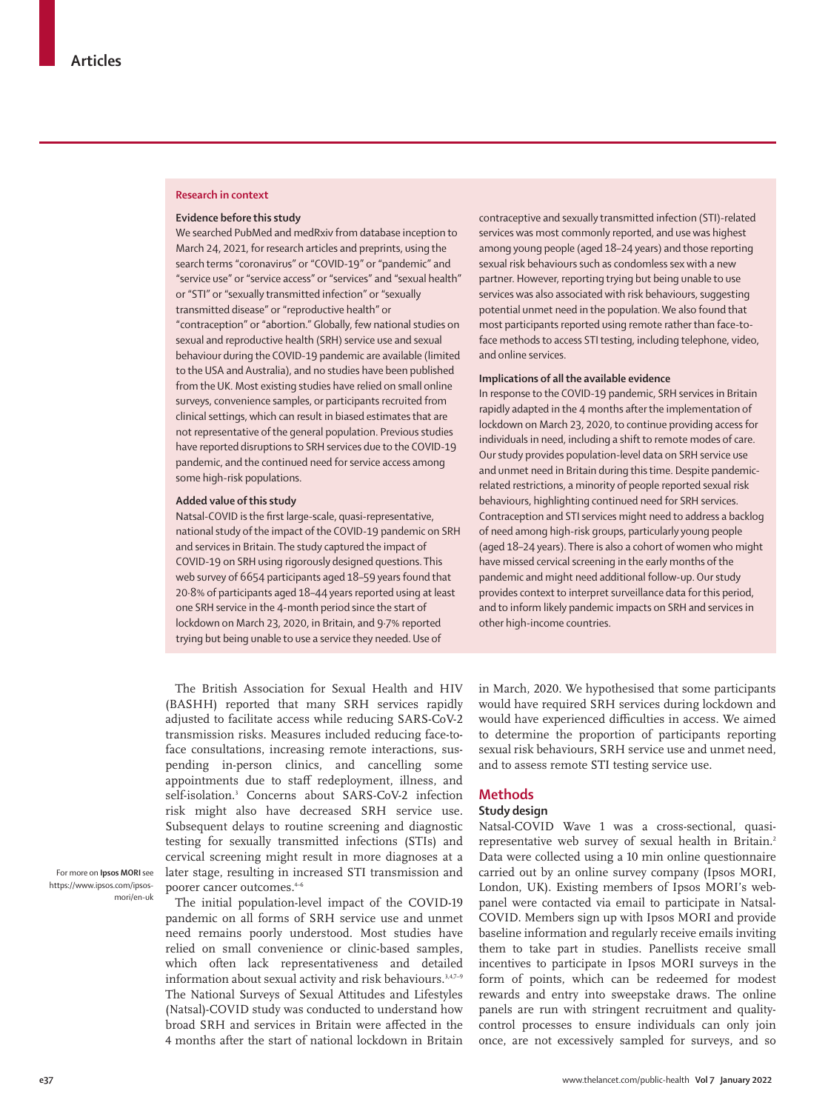#### **Research in context**

#### **Evidence before this study**

We searched PubMed and medRxiv from database inception to March 24, 2021, for research articles and preprints, using the search terms "coronavirus" or "COVID-19" or "pandemic" and "service use" or "service access" or "services" and "sexual health" or "STI" or "sexually transmitted infection" or "sexually transmitted disease" or "reproductive health" or "contraception" or "abortion." Globally, few national studies on sexual and reproductive health (SRH) service use and sexual behaviour during the COVID-19 pandemic are available (limited to the USA and Australia), and no studies have been published from the UK. Most existing studies have relied on small online surveys, convenience samples, or participants recruited from clinical settings, which can result in biased estimates that are not representative of the general population. Previous studies have reported disruptions to SRH services due to the COVID-19 pandemic, and the continued need for service access among some high-risk populations.

#### **Added value of this study**

Natsal-COVID is the first large-scale, quasi-representative, national study of the impact of the COVID-19 pandemic on SRH and services in Britain. The study captured the impact of COVID-19 on SRH using rigorously designed questions. This web survey of 6654 participants aged 18–59 years found that 20·8% of participants aged 18–44 years reported using at least one SRH service in the 4-month period since the start of lockdown on March 23, 2020, in Britain, and 9·7% reported trying but being unable to use a service they needed. Use of

The British Association for Sexual Health and HIV (BASHH) reported that many SRH services rapidly adjusted to facilitate access while reducing SARS-CoV-2 transmission risks. Measures included reducing face-toface consultations, increasing remote interactions, suspending in-person clinics, and cancelling some appointments due to staff redeployment, illness, and self-isolation.3 Concerns about SARS-CoV-2 infection risk might also have decreased SRH service use. Subsequent delays to routine screening and diagnostic testing for sexually transmitted infections (STIs) and cervical screening might result in more diagnoses at a later stage, resulting in increased STI transmission and poorer cancer outcomes.<sup>4-6</sup>

For more on **Ipsos MORI** see [https://www.ipsos.com/ipsos](https://www.ipsos.com/ipsos-mori/en-uk)[mori/en-uk](https://www.ipsos.com/ipsos-mori/en-uk)

The initial population-level impact of the COVID-19 pandemic on all forms of SRH service use and unmet need remains poorly understood. Most studies have relied on small convenience or clinic-based samples, which often lack representativeness and detailed information about sexual activity and risk behaviours.<sup>3,4,7-9</sup> The National Surveys of Sexual Attitudes and Lifestyles (Natsal)-COVID study was conducted to understand how broad SRH and services in Britain were affected in the 4 months after the start of national lockdown in Britain

contraceptive and sexually transmitted infection (STI)-related services was most commonly reported, and use was highest among young people (aged 18–24 years) and those reporting sexual risk behaviours such as condomless sex with a new partner. However, reporting trying but being unable to use services was also associated with risk behaviours, suggesting potential unmet need in the population. We also found that most participants reported using remote rather than face-toface methods to access STI testing, including telephone, video, and online services.

## **Implications of all the available evidence**

In response to the COVID-19 pandemic, SRH services in Britain rapidly adapted in the 4 months after the implementation of lockdown on March 23, 2020, to continue providing access for individuals in need, including a shift to remote modes of care. Our study provides population-level data on SRH service use and unmet need in Britain during this time. Despite pandemicrelated restrictions, a minority of people reported sexual risk behaviours, highlighting continued need for SRH services. Contraception and STI services might need to address a backlog of need among high-risk groups, particularly young people (aged 18–24 years). There is also a cohort of women who might have missed cervical screening in the early months of the pandemic and might need additional follow-up. Our study provides context to interpret surveillance data for this period, and to inform likely pandemic impacts on SRH and services in other high-income countries.

in March, 2020. We hypothesised that some participants would have required SRH services during lockdown and would have experienced difficulties in access. We aimed to determine the proportion of participants reporting sexual risk behaviours, SRH service use and unmet need, and to assess remote STI testing service use.

#### **Methods**

## **Study design**

Natsal-COVID Wave 1 was a cross-sectional, quasirepresentative web survey of sexual health in Britain.<sup>2</sup> Data were collected using a 10 min online questionnaire carried out by an online survey company ([Ipsos MORI](https://www.ipsos.com/ipsos-mori/en-uk), London, UK). Existing members of Ipsos MORI's webpanel were contacted via email to participate in Natsal-COVID. Members sign up with Ipsos MORI and provide baseline information and regularly receive emails inviting them to take part in studies. Panellists receive small incentives to participate in Ipsos MORI surveys in the form of points, which can be redeemed for modest rewards and entry into sweepstake draws. The online panels are run with stringent recruitment and qualitycontrol processes to ensure individuals can only join once, are not excessively sampled for surveys, and so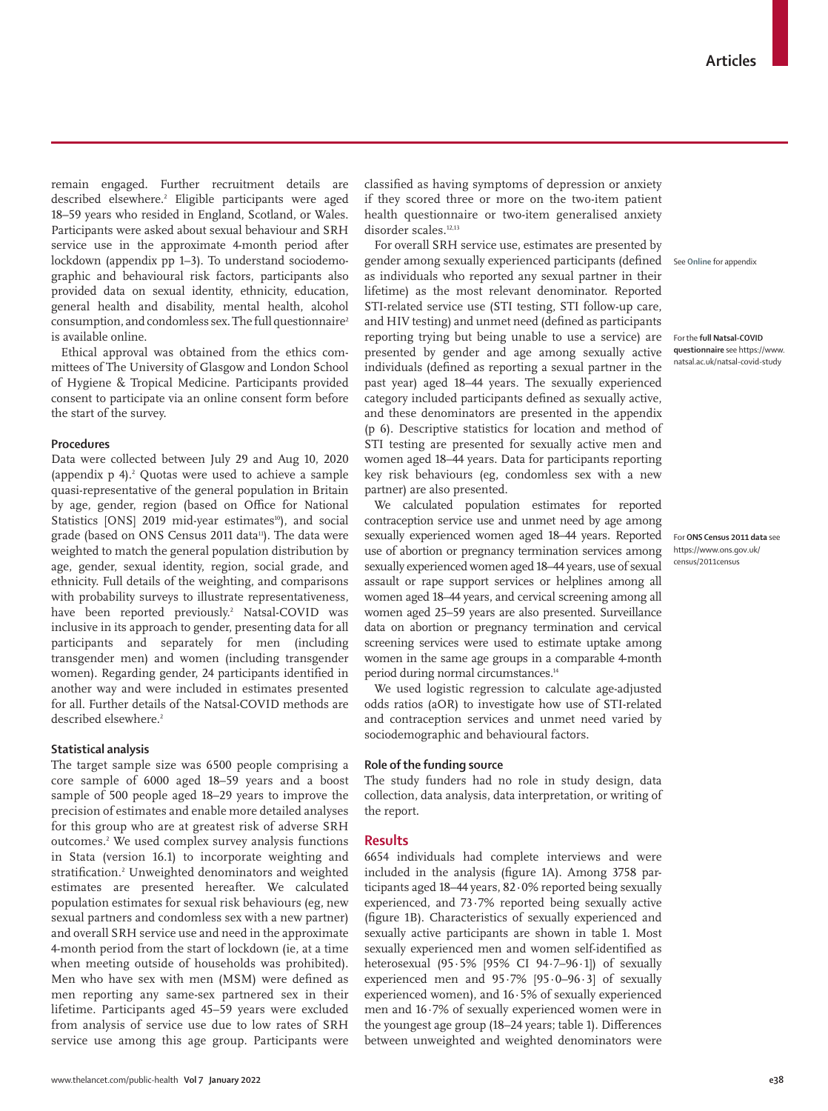remain engaged. Further recruitment details are described elsewhere.2 Eligible participants were aged 18–59 years who resided in England, Scotland, or Wales. Participants were asked about sexual behaviour and SRH service use in the approximate 4-month period after lockdown (appendix pp 1–3). To understand sociodemographic and behavioural risk factors, participants also provided data on sexual identity, ethnicity, education, general health and disability, mental health, alcohol consumption, and condomless sex. The full questionnaire<sup>2</sup> is available [online.](https://www.natsal.ac.uk/natsal-covid-study)

Ethical approval was obtained from the ethics committees of The University of Glasgow and London School of Hygiene & Tropical Medicine. Participants provided consent to participate via an online consent form before the start of the survey.

#### **Procedures**

Data were collected between July 29 and Aug 10, 2020 (appendix  $p_1^2$  Quotas were used to achieve a sample quasi-representative of the general population in Britain by age, gender, region (based on Office for National Statistics [ONS] 2019 mid-year estimates<sup>10</sup>), and social grade (based on ONS Census 2011 data<sup>11</sup>). The data were weighted to match the general population distribution by age, gender, sexual identity, region, social grade, and ethnicity. Full details of the weighting, and comparisons with probability surveys to illustrate representativeness, have been reported previously.<sup>2</sup> Natsal-COVID was inclusive in its approach to gender, presenting data for all participants and separately for men (including transgender men) and women (including transgender women). Regarding gender, 24 participants identified in another way and were included in estimates presented for all. Further details of the Natsal-COVID methods are described elsewhere.<sup>2</sup>

## **Statistical analysis**

The target sample size was 6500 people comprising a core sample of 6000 aged 18–59 years and a boost sample of 500 people aged 18–29 years to improve the precision of estimates and enable more detailed analyses for this group who are at greatest risk of adverse SRH outcomes.2 We used complex survey analysis functions in Stata (version 16.1) to incorporate weighting and stratification.2 Unweighted denominators and weighted estimates are presented hereafter. We calculated population estimates for sexual risk behaviours (eg, new sexual partners and condomless sex with a new partner) and overall SRH service use and need in the approximate 4-month period from the start of lockdown (ie, at a time when meeting outside of households was prohibited). Men who have sex with men (MSM) were defined as men reporting any same-sex partnered sex in their lifetime. Participants aged 45–59 years were excluded from analysis of service use due to low rates of SRH service use among this age group. Participants were

classified as having symptoms of depression or anxiety if they scored three or more on the two-item patient health questionnaire or two-item generalised anxiety disorder scales.<sup>12,13</sup>

For overall SRH service use, estimates are presented by gender among sexually experienced participants (defined as individuals who reported any sexual partner in their lifetime) as the most relevant denominator. Reported STI-related service use (STI testing, STI follow-up care, and HIV testing) and unmet need (defined as participants reporting trying but being unable to use a service) are presented by gender and age among sexually active individuals (defined as reporting a sexual partner in the past year) aged 18–44 years. The sexually experienced category included participants defined as sexually active, and these denominators are presented in the appendix (p 6). Descriptive statistics for location and method of STI testing are presented for sexually active men and women aged 18–44 years. Data for participants reporting key risk behaviours (eg, condomless sex with a new partner) are also presented.

We calculated population estimates for reported contraception service use and unmet need by age among sexually experienced women aged 18–44 years. Reported use of abortion or pregnancy termination services among sexually experienced women aged 18–44 years, use of sexual assault or rape support services or helplines among all women aged 18–44 years, and cervical screening among all women aged 25–59 years are also presented. Surveillance data on abortion or pregnancy termination and cervical screening services were used to estimate uptake among women in the same age groups in a comparable 4-month period during normal circumstances.<sup>14</sup>

We used logistic regression to calculate age-adjusted odds ratios (aOR) to investigate how use of STI-related and contraception services and unmet need varied by sociodemographic and behavioural factors.

#### **Role of the funding source**

The study funders had no role in study design, data collection, data analysis, data interpretation, or writing of the report.

## **Results**

6654 individuals had complete interviews and were included in the analysis (figure 1A). Among 3758 participants aged 18–44 years, 82·0% reported being sexually experienced, and 73·7% reported being sexually active (figure 1B). Characteristics of sexually experienced and sexually active participants are shown in table 1. Most sexually experienced men and women self-identified as heterosexual (95·5% [95% CI 94·7–96·1]) of sexually experienced men and 95·7% [95·0–96·3] of sexually experienced women), and 16·5% of sexually experienced men and 16·7% of sexually experienced women were in the youngest age group (18–24 years; table 1). Differences between unweighted and weighted denominators were

See **Online** for appendix

For the **full Natsal-COVID questionnaire** see [https://www.](https://www.natsal.ac.uk/natsal-covid-study) [natsal.ac.uk/natsal-covid-study](https://www.natsal.ac.uk/natsal-covid-study)

For **ONS Census 2011 data** see https://www.ons.gov.uk/ census/2011census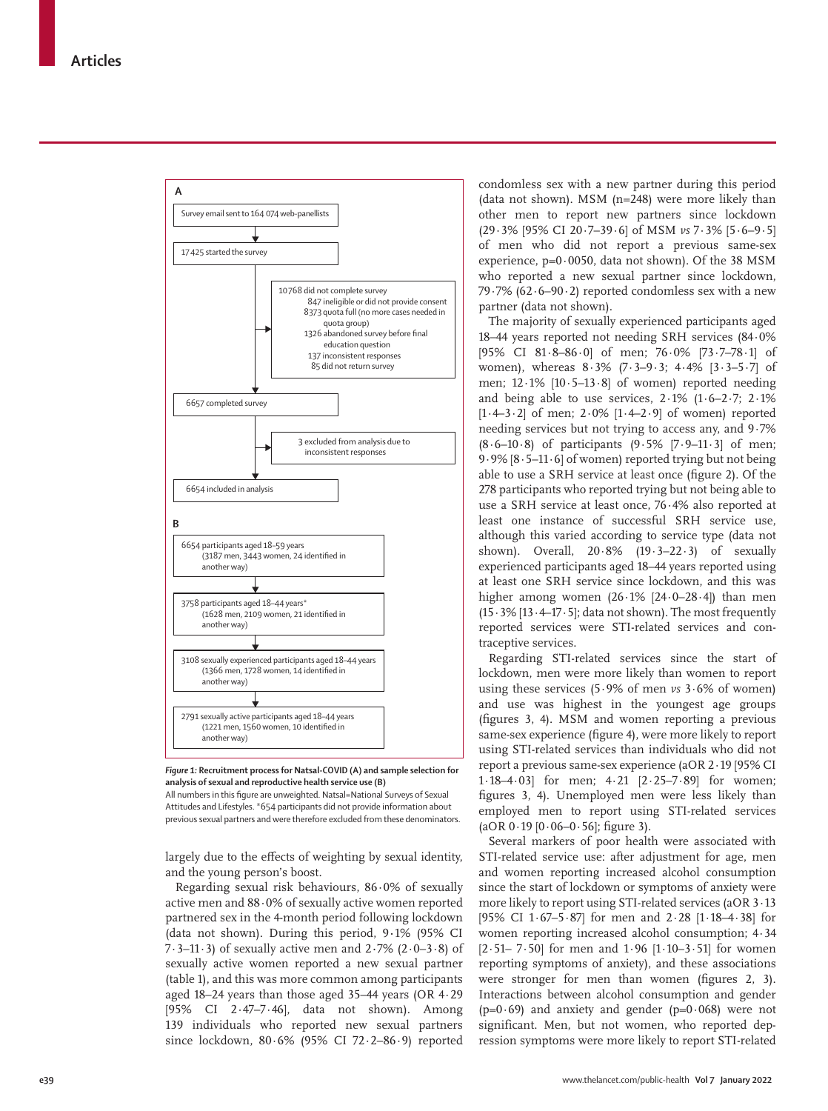

*Figure 1:* **Recruitment process for Natsal-COVID (A) and sample selection for analysis of sexual and reproductive health service use (B)** All numbers in this figure are unweighted. Natsal=National Surveys of Sexual Attitudes and Lifestyles. \*654 participants did not provide information about

previous sexual partners and were therefore excluded from these denominators.

largely due to the effects of weighting by sexual identity, and the young person's boost.

Regarding sexual risk behaviours, 86·0% of sexually active men and 88·0% of sexually active women reported partnered sex in the 4-month period following lockdown (data not shown). During this period, 9**·**1% (95% CI 7·3–11·3) of sexually active men and 2**·**7% (2·0–3·8) of sexually active women reported a new sexual partner (table 1), and this was more common among participants aged 18–24 years than those aged 35–44 years (OR 4·29 [95% CI 2·47–7·46], data not shown). Among 139 individuals who reported new sexual partners since lockdown, 80·6% (95% CI 72·2–86·9) reported condomless sex with a new partner during this period (data not shown). MSM (n=248) were more likely than other men to report new partners since lockdown (29·3% [95% CI 20·7–39·6] of MSM *vs* 7·3% [5·6–9·5] of men who did not report a previous same-sex experience, p=0·0050, data not shown). Of the 38 MSM who reported a new sexual partner since lockdown, 79 $-7\%$  (62 $-90.2$ ) reported condomless sex with a new partner (data not shown).

The majority of sexually experienced participants aged 18–44 years reported not needing SRH services (84·0% [95% CI 81·8–86·0] of men; 76·0% [73·7–78·1] of women), whereas 8·3% (7·3–9·3; 4·4% [3·3–5·7] of men; 12·1% [10·5–13·8] of women) reported needing and being able to use services, 2·1% (1·6–2·7; 2·1% [1·4–3·2] of men; 2·0% [1·4–2·9] of women) reported needing services but not trying to access any, and 9·7%  $(8.6-10.8)$  of participants  $(9.5\%$   $[7.9-11.3]$  of men; 9·9% [8·5–11·6] of women) reported trying but not being able to use a SRH service at least once (figure 2). Of the 278 participants who reported trying but not being able to use a SRH service at least once, 76·4% also reported at least one instance of successful SRH service use, although this varied according to service type (data not shown). Overall,  $20.8\%$  (19.3–22.3) of sexually experienced participants aged 18–44 years reported using at least one SRH service since lockdown, and this was higher among women (26·1% [24·0–28·4]) than men  $(15.3\%$  [13 $.4$ -17 $.5$ ]; data not shown). The most frequently reported services were STI-related services and contraceptive services.

Regarding STI-related services since the start of lockdown, men were more likely than women to report using these services (5·9% of men *vs* 3·6% of women) and use was highest in the youngest age groups (figures 3, 4). MSM and women reporting a previous same-sex experience (figure 4), were more likely to report using STI-related services than individuals who did not report a previous same-sex experience (aOR 2·19 [95% CI 1·18–4·03] for men; 4·21 [2·25–7·89] for women; figures 3, 4). Unemployed men were less likely than employed men to report using STI-related services  $(aOR 0.19 [0.06–0.56]; figure 3).$ 

Several markers of poor health were associated with STI-related service use: after adjustment for age, men and women reporting increased alcohol consumption since the start of lockdown or symptoms of anxiety were more likely to report using STI-related services (aOR 3·13 [95% CI 1·67–5·87] for men and 2·28 [1·18–4·38] for women reporting increased alcohol consumption; 4·34  $[2.51 - 7.50]$  for men and  $1.96$   $[1.10 - 3.51]$  for women reporting symptoms of anxiety), and these associations were stronger for men than women (figures 2, 3). Interactions between alcohol consumption and gender ( $p=0.69$ ) and anxiety and gender ( $p=0.068$ ) were not significant. Men, but not women, who reported depression symptoms were more likely to report STI-related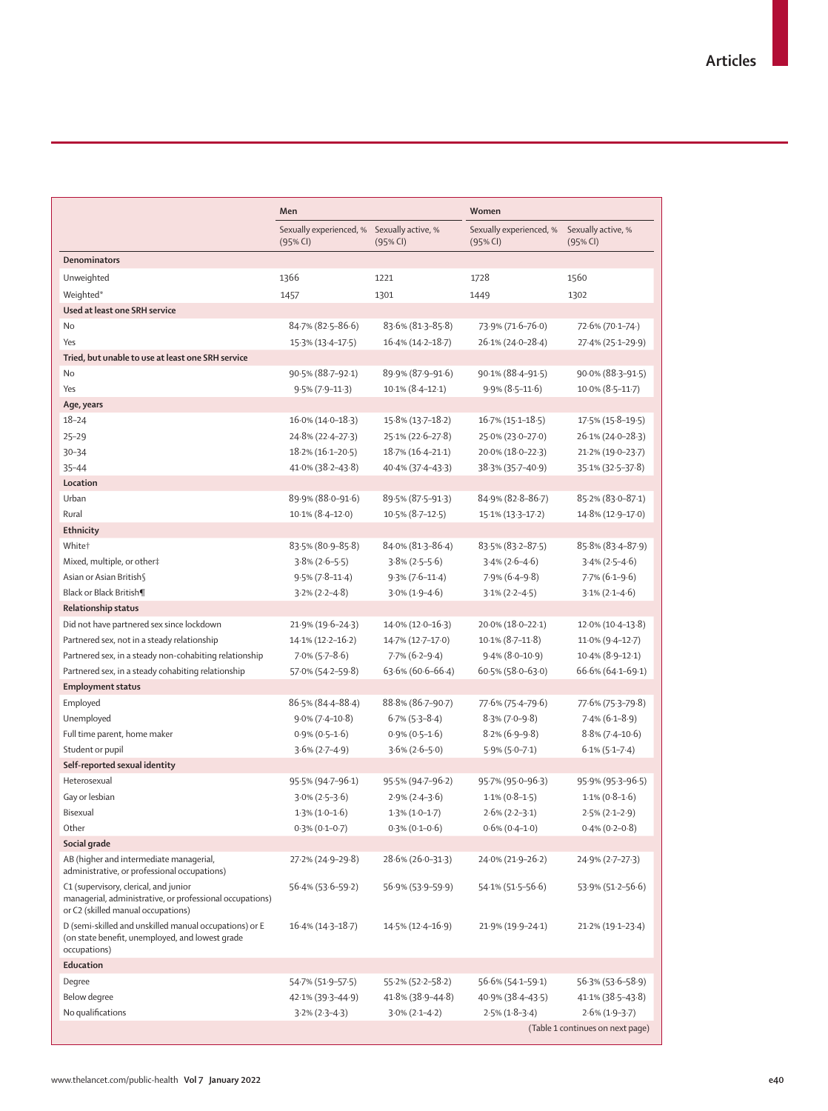|                                                                                                                                         | Men                                                    |                        | Women                               |                                  |
|-----------------------------------------------------------------------------------------------------------------------------------------|--------------------------------------------------------|------------------------|-------------------------------------|----------------------------------|
|                                                                                                                                         | Sexually experienced, % Sexually active, %<br>(95% CI) | (95% CI)               | Sexually experienced, %<br>(95% CI) | Sexually active, %<br>(95% CI)   |
| <b>Denominators</b>                                                                                                                     |                                                        |                        |                                     |                                  |
| Unweighted                                                                                                                              | 1366                                                   | 1221                   | 1728                                | 1560                             |
| Weighted*                                                                                                                               | 1457                                                   | 1301                   | 1449                                | 1302                             |
| Used at least one SRH service                                                                                                           |                                                        |                        |                                     |                                  |
| <b>No</b>                                                                                                                               | 84.7% (82.5-86.6)                                      | 83.6% (81.3-85.8)      | 73.9% (71.6-76.0)                   | 72.6% (70.1-74.)                 |
| Yes                                                                                                                                     | 15.3% (13.4-17.5)                                      | 16.4% (14.2-18.7)      | 26.1% (24.0-28.4)                   | 27.4% (25.1-29.9)                |
| Tried, but unable to use at least one SRH service                                                                                       |                                                        |                        |                                     |                                  |
| No                                                                                                                                      | 90.5% (88.7-92.1)                                      | 89.9% (87.9-91.6)      | 90.1% (88.4-91.5)                   | 90.0% (88.3-91.5)                |
| Yes                                                                                                                                     | $9.5\%$ (7.9-11.3)                                     | $10.1\% (8.4 - 12.1)$  | $9.9\%$ (8.5-11.6)                  | $10.0\%$ (8.5-11.7)              |
| Age, years                                                                                                                              |                                                        |                        |                                     |                                  |
| $18 - 24$                                                                                                                               | $16.0\%$ (14.0-18.3)                                   | $15.8\% (13.7 - 18.2)$ | $16.7\% (15.1 - 18.5)$              | 17.5% (15.8-19.5)                |
| $25 - 29$                                                                                                                               | 24.8% (22.4-27.3)                                      | 25.1% (22.6-27.8)      | 25.0% (23.0-27.0)                   | 26.1% (24.0-28.3)                |
| $30 - 34$                                                                                                                               | $18.2\% (16.1 - 20.5)$                                 | 18.7% (16.4-21.1)      | 20.0% (18.0-22.3)                   | 21.2% (19.0-23.7)                |
| $35 - 44$                                                                                                                               | 41.0% (38.2-43.8)                                      | 40.4% (37.4-43.3)      | 38.3% (35.7-40.9)                   | 35.1% (32.5-37.8)                |
| Location                                                                                                                                |                                                        |                        |                                     |                                  |
| Urban                                                                                                                                   | 89.9% (88.0-91.6)                                      | 89.5% (87.5-91.3)      | 84.9% (82.8-86.7)                   | 85.2% (83.0-87.1)                |
| Rural                                                                                                                                   | $10.1\% (8.4 - 12.0)$                                  | $10.5\%$ (8.7-12.5)    | 15.1% (13.3-17.2)                   | 14.8% (12.9-17.0)                |
| Ethnicity                                                                                                                               |                                                        |                        |                                     |                                  |
| White <sup>+</sup>                                                                                                                      | 83.5% (80.9-85.8)                                      | 84.0% (81.3-86.4)      | 83.5% (83.2-87.5)                   | 85.8% (83.4-87.9)                |
| Mixed, multiple, or other‡                                                                                                              | $3.8\%$ (2.6–5.5)                                      | $3.8\% (2.5 - 5.6)$    | $3.4\%$ (2.6–4.6)                   | $3.4\%$ (2.5-4.6)                |
| Asian or Asian British                                                                                                                  | $9.5\%$ (7.8-11.4)                                     | $9.3\%$ (7.6-11.4)     | $7.9\%$ (6.4-9.8)                   | $7.7\%$ (6.1-9.6)                |
| Black or Black British¶                                                                                                                 | $3.2\% (2.2 - 4.8)$                                    | $3.0\%$ (1.9-4.6)      | $3.1\% (2.2 - 4.5)$                 | $3.1\% (2.1 - 4.6)$              |
| Relationship status                                                                                                                     |                                                        |                        |                                     |                                  |
| Did not have partnered sex since lockdown                                                                                               | 21.9% (19.6-24.3)                                      | 14.0% (12.0-16.3)      | 20.0% (18.0-22.1)                   | 12.0% (10.4-13.8)                |
| Partnered sex, not in a steady relationship                                                                                             | $14.1\% (12.2 - 16.2)$                                 | 14.7% (12.7-17.0)      | $10.1\% (8.7 - 11.8)$               | $11.0\%$ (9.4-12.7)              |
| Partnered sex, in a steady non-cohabiting relationship                                                                                  | $7.0\%$ (5.7-8.6)                                      | $7.7\%$ (6.2-9.4)      | $9.4\%$ (8.0-10.9)                  | $10.4\%$ (8.9-12.1)              |
| Partnered sex, in a steady cohabiting relationship                                                                                      | 57.0% (54.2-59.8)                                      | $63.6\%$ (60.6-66.4)   | 60.5% (58.0-63.0)                   | 66.6% (64.1-69.1)                |
| <b>Employment status</b>                                                                                                                |                                                        |                        |                                     |                                  |
| Employed                                                                                                                                | 86-5% (84-4-88-4)                                      | 88.8% (86.7-90.7)      | 77.6% (75.4-79.6)                   | 77.6% (75.3-79.8)                |
| Unemployed                                                                                                                              | $9.0\% (7.4 - 10.8)$                                   | $6.7\%$ (5.3-8.4)      | $8.3\%$ (7.0-9.8)                   | $7.4\%$ (6.1–8.9)                |
| Full time parent, home maker                                                                                                            | $0.9\%$ (0.5-1.6)                                      | $0.9\%$ (0.5-1.6)      | $8.2\%$ (6.9-9.8)                   | $8.8\%$ (7.4-10.6)               |
| Student or pupil                                                                                                                        | $3.6\%$ (2.7-4.9)                                      | $3.6\%$ (2.6–5.0)      | $5.9\%$ ( $5.0 - 7.1$ )             | $6.1\%$ (5.1–7.4)                |
| Self-reported sexual identity                                                                                                           |                                                        |                        |                                     |                                  |
| Heterosexual                                                                                                                            | 95.5% (94.7-96.1)                                      | 95.5% (94.7-96.2)      | 95.7% (95.0-96.3)                   | 95.9% (95.3-96.5)                |
| Gay or lesbian                                                                                                                          | $3.0\%$ (2 $-5-3.6$ )                                  | $2.9\%$ (2.4-3.6)      | $1.1\% (0.8-1.5)$                   | $1.1\%$ (0.8–1.6)                |
| Bisexual                                                                                                                                | $1.3\%$ (1.0-1.6)                                      | $1.3\%$ (1.0-1.7)      | $2.6\%$ (2.2-3.1)                   | $2.5\%$ (2.1-2.9)                |
| Other                                                                                                                                   | $0.3\%$ (0.1-0.7)                                      | $0.3\%$ (0.1–0.6)      | $0.6\%$ (0.4-1.0)                   | $0.4\%$ (0.2–0.8)                |
| Social grade                                                                                                                            |                                                        |                        |                                     |                                  |
| AB (higher and intermediate managerial,<br>administrative, or professional occupations)                                                 | 27.2% (24.9–29.8)                                      | 28.6% (26.0-31.3)      | 24.0% (21.9-26.2)                   | 24.9% (2.7–27.3)                 |
| C1 (supervisory, clerical, and junior<br>managerial, administrative, or professional occupations)<br>or C2 (skilled manual occupations) | $56.4\%$ (53.6–59.2)                                   | 56.9% (53.9–59.9)      | 54.1% (51.5–56.6)                   | 53.9% (51.2–56.6)                |
| D (semi-skilled and unskilled manual occupations) or E<br>(on state benefit, unemployed, and lowest grade<br>occupations)               | $16.4\%$ (14.3-18.7)                                   | $14.5\%$ (12.4–16.9)   | $21.9\%$ (19.9–24.1)                | 21.2% (19.1-23.4)                |
| Education                                                                                                                               |                                                        |                        |                                     |                                  |
| Degree                                                                                                                                  | 54.7% (51.9-57.5)                                      | 55.2% (52.2–58.2)      | 56.6% (54.1-59.1)                   | 56.3% (53.6–58.9)                |
| Below degree                                                                                                                            | $42.1\%$ (39.3-44.9)                                   | $41.8\%$ (38.9-44.8)   | 40.9% (38.4-43.5)                   | $41.1\%$ (38.5-43.8)             |
| No qualifications                                                                                                                       | $3.2\% (2.3 - 4.3)$                                    | $3.0\%$ (2.1-4.2)      | $2.5\%$ (1.8-3.4)                   | $2.6\%$ (1.9-3.7)                |
|                                                                                                                                         |                                                        |                        |                                     | (Table 1 continues on next page) |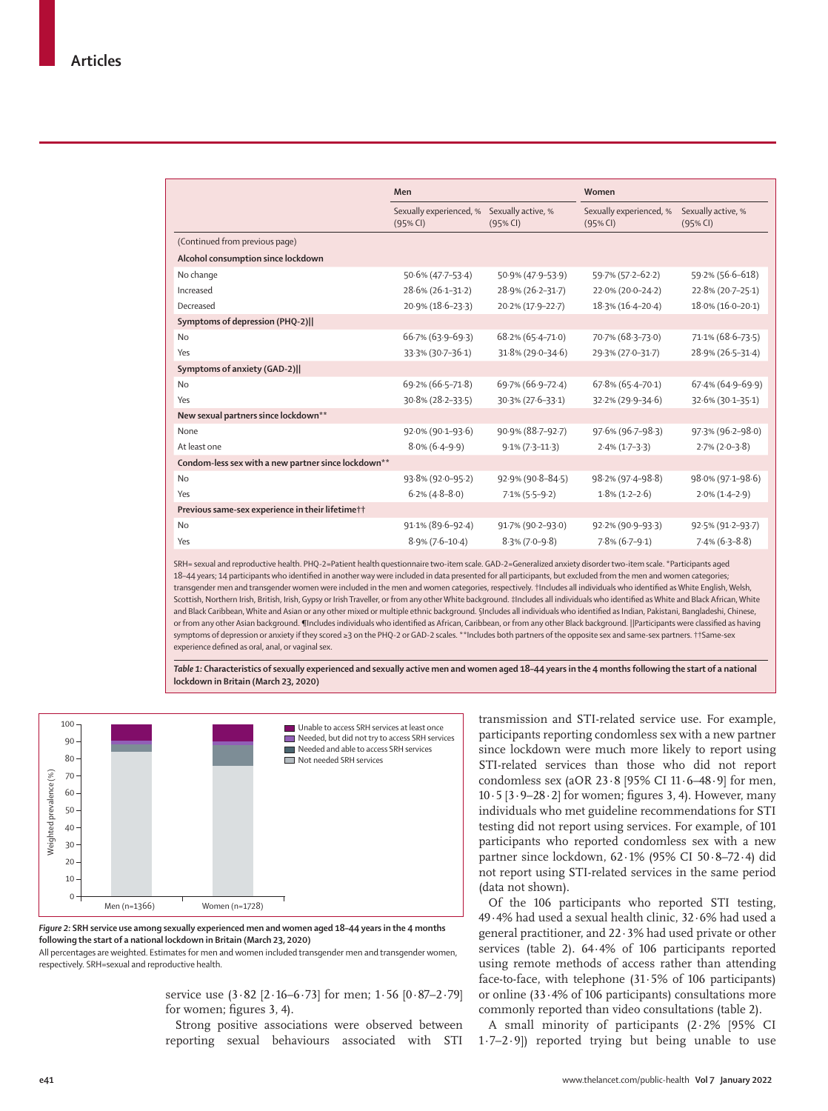|                                                     | Men                                 |                                | Women                               |                                |
|-----------------------------------------------------|-------------------------------------|--------------------------------|-------------------------------------|--------------------------------|
|                                                     | Sexually experienced, %<br>(95% CI) | Sexually active, %<br>(95% CI) | Sexually experienced, %<br>(95% CI) | Sexually active, %<br>(95% CI) |
| (Continued from previous page)                      |                                     |                                |                                     |                                |
| Alcohol consumption since lockdown                  |                                     |                                |                                     |                                |
| No change                                           | 50.6% (47.7-53.4)                   | 50.9% (47.9-53.9)              | 59.7% (57.2-62.2)                   | 59.2% (56.6-618)               |
| Increased                                           | 28.6% (26.1-31.2)                   | 28.9% (26.2-31.7)              | 22.0% (20.0-24.2)                   | 22.8% (20.7-25.1)              |
| Decreased                                           | 20.9% (18.6-23.3)                   | 20.2% (17.9-22.7)              | $18.3\%$ (16.4-20.4)                | 18.0% (16.0-20.1)              |
| Symptoms of depression (PHQ-2)                      |                                     |                                |                                     |                                |
| <b>No</b>                                           | 66.7% (63.9-69.3)                   | 68.2% (65.4-71.0)              | 70.7% (68.3-73.0)                   | 71.1% (68.6-73.5)              |
| Yes                                                 | 33.3% (30.7-36.1)                   | $31.8\%$ (29.0-34.6)           | 29.3% (27.0-31.7)                   | 28.9% (26.5-31.4)              |
| Symptoms of anxiety (GAD-2)                         |                                     |                                |                                     |                                |
| <b>No</b>                                           | 69.2% (66.5-71.8)                   | 69.7% (66.9-72.4)              | $67.8\%$ (65.4-70.1)                | $67.4\%$ (64.9-69.9)           |
| Yes                                                 | 30.8% (28.2-33.5)                   | 30.3% (27.6-33.1)              | 32.2% (29.9-34.6)                   | 32.6% (30.1-35.1)              |
| New sexual partners since lockdown**                |                                     |                                |                                     |                                |
| None                                                | $92.0\%$ (90.1–93.6)                | 90.9% (88.7-92.7)              | $97.6\%$ (96.7-98.3)                | 97.3% (96.2-98.0)              |
| At least one                                        | $8.0\%$ (6.4-9.9)                   | $9.1\%$ (7.3-11.3)             | $2.4\%$ (1.7-3.3)                   | $2.7\%$ (2.0-3.8)              |
| Condom-less sex with a new partner since lockdown** |                                     |                                |                                     |                                |
| <b>No</b>                                           | 93.8% (92.0-95.2)                   | 92.9% (90.8-84.5)              | 98.2% (97.4-98.8)                   | 98.0% (97.1-98.6)              |
| Yes                                                 | $6.2\%$ (4.8-8.0)                   | $7.1\%$ (5.5-9.2)              | $1.8\%$ (1.2-2.6)                   | $2.0\%$ (1.4-2.9)              |
| Previous same-sex experience in their lifetime††    |                                     |                                |                                     |                                |
| <b>No</b>                                           | $91.1\% (89.6 - 92.4)$              | 91.7% (90.2-93.0)              | 92.2% (90.9-93.3)                   | 92.5% (91.2-93.7)              |
| Yes                                                 | $8.9\%$ (7.6-10.4)                  | $8.3\%$ (7.0-9.8)              | $7.8\%$ (6.7-9.1)                   | $7.4\%$ (6.3-8.8)              |

SRH= sexual and reproductive health. PHQ-2=Patient health questionnaire two-item scale. GAD-2=Generalized anxiety disorder two-item scale. \*Participants aged 18–44 years; 14 participants who identified in another way were included in data presented for all participants, but excluded from the men and women categories; transgender men and transgender women were included in the men and women categories, respectively. †Includes all individuals who identified as White English, Welsh, Scottish, Northern Irish, British, Irish, Gypsy or Irish Traveller, or from any other White background. ‡Includes all individuals who identified as White and Black African, White and Black Caribbean, White and Asian or any other mixed or multiple ethnic background. §Includes all individuals who identified as Indian, Pakistani, Bangladeshi, Chinese, or from any other Asian background. ¶Includes individuals who identified as African, Caribbean, or from any other Black background. ||Participants were classified as having symptoms of depression or anxiety if they scored ≥3 on the PHQ-2 or GAD-2 scales. \*\*Includes both partners of the opposite sex and same-sex partners. ††Same-sex experience defined as oral, anal, or vaginal sex.

*Table 1:* **Characteristics of sexually experienced and sexually active men and women aged 18–44 years in the 4 months following the start of a national lockdown in Britain (March 23, 2020)** 



*Figure 2:* **SRH service use among sexually experienced men and women aged 18–44 years in the 4 months following the start of a national lockdown in Britain (March 23, 2020)** 

All percentages are weighted. Estimates for men and women included transgender men and transgender women, respectively. SRH=sexual and reproductive health.

> service use (3·82 [2·16–6·73] for men; 1·56 [0·87–2·79] for women; figures 3, 4).

> Strong positive associations were observed between reporting sexual behaviours associated with STI

transmission and STI-related service use. For example, participants reporting condomless sex with a new partner since lockdown were much more likely to report using STI-related services than those who did not report condomless sex (aOR  $23.8$  [95% CI 11 $\cdot$  6–48 $\cdot$ 9] for men,  $10.5$  [3.9–28.2] for women; figures 3, 4). However, many individuals who met guideline recommendations for STI testing did not report using services. For example, of 101 participants who reported condomless sex with a new partner since lockdown, 62·1% (95% CI 50·8–72·4) did not report using STI-related services in the same period (data not shown).

Of the 106 participants who reported STI testing, 49·4% had used a sexual health clinic, 32·6% had used a general practitioner, and 22·3% had used private or other services (table 2). 64·4% of 106 participants reported using remote methods of access rather than attending face-to-face, with telephone (31·5% of 106 participants) or online (33·4% of 106 participants) consultations more commonly reported than video consultations (table 2).

A small minority of participants (2·2% [95% CI 1·7–2·9]) reported trying but being unable to use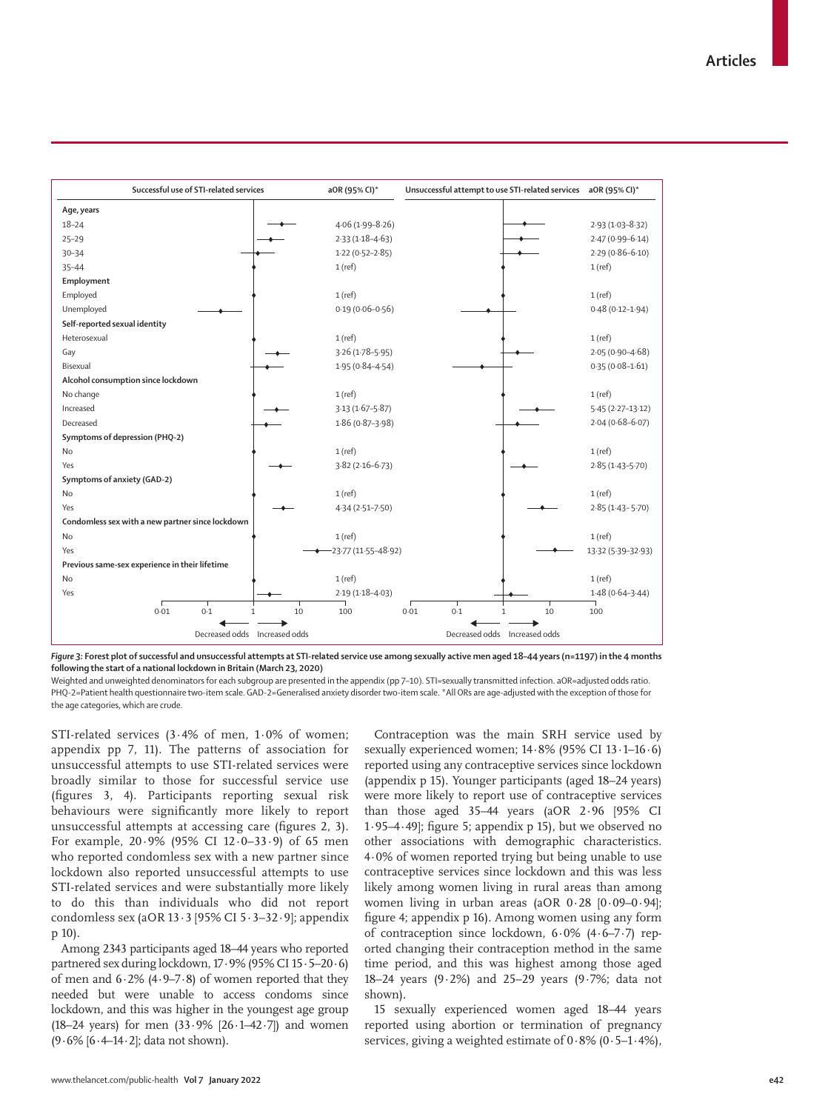

*Figure 3:* **Forest plot of successful and unsuccessful attempts at STI-related service use among sexually active men aged 18–44 years (n=1197) in the 4 months following the start of a national lockdown in Britain (March 23, 2020)** 

Weighted and unweighted denominators for each subgroup are presented in the appendix (pp 7-10). STI=sexually transmitted infection. aOR=adjusted odds ratio. PHQ-2=Patient health questionnaire two-item scale. GAD-2=Generalised anxiety disorder two-item scale. \*All ORs are age-adjusted with the exception of those for the age categories, which are crude.

STI-related services (3·4% of men, 1·0% of women; appendix pp 7, 11). The patterns of association for unsuccessful attempts to use STI-related services were broadly similar to those for successful service use (figures 3, 4). Participants reporting sexual risk behaviours were significantly more likely to report unsuccessful attempts at accessing care (figures 2, 3). For example, 20·9% (95% CI 12·0–33·9) of 65 men who reported condomless sex with a new partner since lockdown also reported unsuccessful attempts to use STI-related services and were substantially more likely to do this than individuals who did not report condomless sex (aOR 13·3 [95% CI 5·3–32·9]; appendix p 10).

Among 2343 participants aged 18–44 years who reported partnered sex during lockdown, 17·9% (95% CI 15·5–20·6) of men and 6·2% (4·9–7·8) of women reported that they needed but were unable to access condoms since lockdown, and this was higher in the youngest age group (18–24 years) for men  $(33.9\%$   $[26.1–42.7]$ ) and women (9·6% [6·4–14·2]; data not shown).

Contraception was the main SRH service used by sexually experienced women; 14·8% (95% CI 13·1–16·6) reported using any contraceptive services since lockdown (appendix p 15). Younger participants (aged 18–24 years) were more likely to report use of contraceptive services than those aged 35–44 years (aOR 2·96 [95% CI 1·95–4·49]; figure 5; appendix p 15), but we observed no other associations with demographic characteristics. 4·0% of women reported trying but being unable to use contraceptive services since lockdown and this was less likely among women living in rural areas than among women living in urban areas (aOR 0·28 [0·09–0·94]; figure 4; appendix p 16). Among women using any form of contraception since lockdown, 6·0% (4·6–7·7) reported changing their contraception method in the same time period, and this was highest among those aged 18–24 years (9·2%) and 25–29 years (9·7%; data not shown).

15 sexually experienced women aged 18–44 years reported using abortion or termination of pregnancy services, giving a weighted estimate of  $0.8\%$  (0.5–1.4%),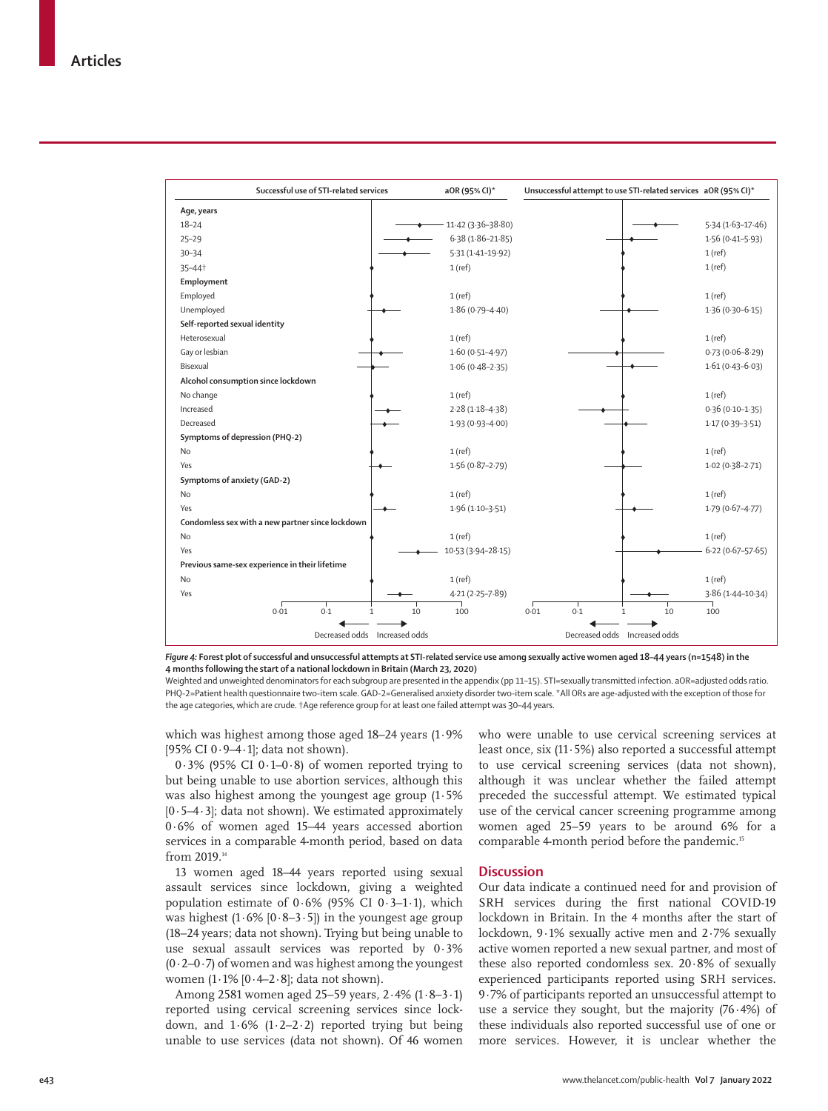

*Figure 4:* **Forest plot of successful and unsuccessful attempts at STI-related service use among sexually active women aged 18–44 years (n=1548) in the 4 months following the start of a national lockdown in Britain (March 23, 2020)** 

Weighted and unweighted denominators for each subgroup are presented in the appendix (pp 11-15). STI=sexually transmitted infection. aOR=adjusted odds ratio. PHQ-2=Patient health questionnaire two-item scale. GAD-2=Generalised anxiety disorder two-item scale. \*All ORs are age-adjusted with the exception of those for the age categories, which are crude. †Age reference group for at least one failed attempt was 30–44 years.

which was highest among those aged 18–24 years (1·9% [95% CI 0·9–4·1]; data not shown).

 $0.3\%$  (95% CI 0.1–0.8) of women reported trying to but being unable to use abortion services, although this was also highest among the youngest age group (1·5%  $[0.5-4.3]$ ; data not shown). We estimated approximately 0·6% of women aged 15–44 years accessed abortion services in a comparable 4-month period, based on data from 2019.14

13 women aged 18–44 years reported using sexual assault services since lockdown, giving a weighted population estimate of  $0.6\%$  (95% CI  $0.3-1.1$ ), which was highest  $(1.6\%$  [0.8–3.5]) in the youngest age group (18–24 years; data not shown). Trying but being unable to use sexual assault services was reported by 0·3%  $(0.2-0.7)$  of women and was highest among the youngest women  $(1.1\%$   $[0.4–2.8]$ ; data not shown).

Among 2581 women aged 25–59 years, 2·4% (1·8–3·1) reported using cervical screening services since lockdown, and  $1.6\%$  ( $1.2-2.2$ ) reported trying but being unable to use services (data not shown). Of 46 women who were unable to use cervical screening services at least once, six (11·5%) also reported a successful attempt to use cervical screening services (data not shown), although it was unclear whether the failed attempt preceded the successful attempt. We estimated typical use of the cervical cancer screening programme among women aged 25–59 years to be around 6% for a comparable 4-month period before the pandemic.<sup>15</sup>

## **Discussion**

Our data indicate a continued need for and provision of SRH services during the first national COVID-19 lockdown in Britain. In the 4 months after the start of lockdown, 9·1% sexually active men and 2·7% sexually active women reported a new sexual partner, and most of these also reported condomless sex. 20·8% of sexually experienced participants reported using SRH services. 9·7% of participants reported an unsuccessful attempt to use a service they sought, but the majority (76·4%) of these individuals also reported successful use of one or more services. However, it is unclear whether the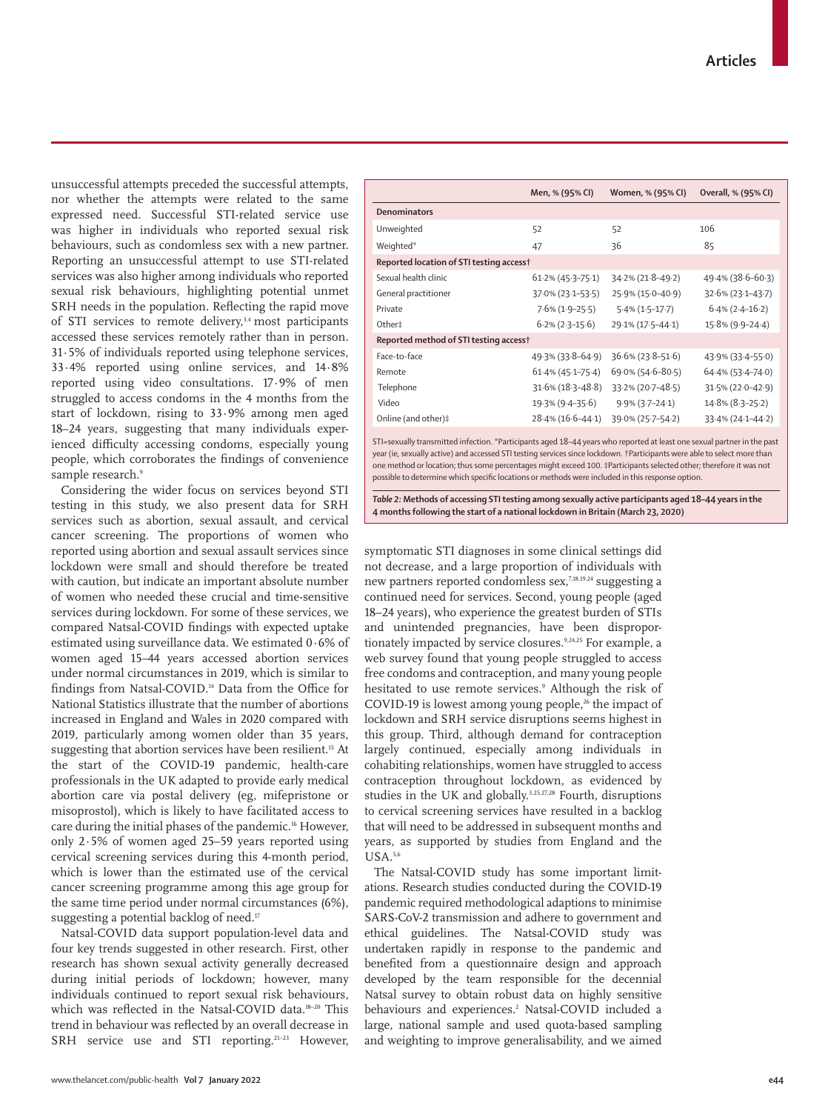unsuccessful attempts preceded the successful attempts, nor whether the attempts were related to the same expressed need. Successful STI-related service use was higher in individuals who reported sexual risk behaviours, such as condomless sex with a new partner. Reporting an unsuccessful attempt to use STI-related services was also higher among individuals who reported sexual risk behaviours, highlighting potential unmet SRH needs in the population. Reflecting the rapid move of STI services to remote delivery,<sup>3,4</sup> most participants accessed these services remotely rather than in person. 31·5% of individuals reported using telephone services, 33·4% reported using online services, and 14·8% reported using video consultations. 17·9% of men struggled to access condoms in the 4 months from the start of lockdown, rising to 33·9% among men aged 18–24 years, suggesting that many individuals experienced difficulty accessing condoms, especially young people, which corroborates the findings of convenience sample research.<sup>9</sup>

Considering the wider focus on services beyond STI testing in this study, we also present data for SRH services such as abortion, sexual assault, and cervical cancer screening. The proportions of women who reported using abortion and sexual assault services since lockdown were small and should therefore be treated with caution, but indicate an important absolute number of women who needed these crucial and time-sensitive services during lockdown. For some of these services, we compared Natsal-COVID findings with expected uptake estimated using surveillance data. We estimated 0·6% of women aged 15–44 years accessed abortion services under normal circumstances in 2019, which is similar to findings from Natsal-COVID.14 Data from the Office for National Statistics illustrate that the number of abortions increased in England and Wales in 2020 compared with 2019, particularly among women older than 35 years, suggesting that abortion services have been resilient.<sup>15</sup> At the start of the COVID-19 pandemic, health-care professionals in the UK adapted to provide early medical abortion care via postal delivery (eg, mifepristone or misoprostol), which is likely to have facilitated access to care during the initial phases of the pandemic.<sup>16</sup> However, only 2·5% of women aged 25–59 years reported using cervical screening services during this 4-month period, which is lower than the estimated use of the cervical cancer screening programme among this age group for the same time period under normal circumstances (6%), suggesting a potential backlog of need.<sup>17</sup>

Natsal-COVID data support population-level data and four key trends suggested in other research. First, other research has shown sexual activity generally decreased during initial periods of lockdown; however, many individuals continued to report sexual risk behaviours, which was reflected in the Natsal-COVID data.<sup>18-20</sup> This trend in behaviour was reflected by an overall decrease in SRH service use and STI reporting.<sup>21-23</sup> However,

|                                          | Men, % (95% CI)        | Women, % (95% CI)      | Overall, % (95% CI)    |  |  |
|------------------------------------------|------------------------|------------------------|------------------------|--|--|
| Denominators                             |                        |                        |                        |  |  |
| Unweighted                               | 52                     | 52                     | 106                    |  |  |
| Weighted*                                | 47                     | 36                     | 85                     |  |  |
| Reported location of STI testing access† |                        |                        |                        |  |  |
| Sexual health clinic                     | $61.2\% (45.3 - 75.1)$ | 34.2% (21.8-49.2)      | $49.4\%$ (38.6–60.3)   |  |  |
| General practitioner                     | 37.0% (23.1-53.5)      | 25.9% (15.0-40.9)      | $32.6\% (23.1 - 43.7)$ |  |  |
| Private                                  | $7.6\%$ (1.9-25.5)     | $5.4\%$ (1.5-17.7)     | $6.4\%$ (2.4–16.2)     |  |  |
| Other‡                                   | $6.2\%$ (2.3–15.6)     | 29.1% (17.5-44.1)      | $15.8\%$ (9.9-24.4)    |  |  |
| Reported method of STI testing access†   |                        |                        |                        |  |  |
| Face-to-face                             | 49.3% (33.8–64.9)      | $36.6\% (23.8 - 51.6)$ | 43.9% (33.4-55.0)      |  |  |
| Remote                                   | $61.4\%$ (45 $-75.4$ ) | $69.0\%$ (54.6-80.5)   | $64.4\%$ (53.4-74.0)   |  |  |
| Telephone                                | $31.6\%$ (18.3-48.8)   | 33.2% (20.7-48.5)      | $31.5\%$ (22.0-42.9)   |  |  |
| Video                                    | 19.3% (9.4-35.6)       | $9.9\%$ (3.7-24.1)     | $14.8\%$ (8.3-25.2)    |  |  |
| Online (and other)#                      | 28.4% (16.6–44.1)      | 39.0% (25.7-54.2)      | $33.4\%$ (24 $-44.2$ ) |  |  |

STI=sexually transmitted infection. \*Participants aged 18–44 years who reported at least one sexual partner in the past year (ie, sexually active) and accessed STI testing services since lockdown. †Participants were able to select more than one method or location; thus some percentages might exceed 100. ‡Participants selected other; therefore it was not possible to determine which specific locations or methods were included in this response option.

*Table 2:* **Methods of accessing STI testing among sexually active participants aged 18–44 years in the 4 months following the start of a national lockdown in Britain (March 23, 2020)**

symptomatic STI diagnoses in some clinical settings did not decrease, and a large proportion of individuals with new partners reported condomless sex,7,18,19,24 suggesting a continued need for services. Second, young people (aged 18–24 years)**,** who experience the greatest burden of STIs and unintended pregnancies, have been disproportionately impacted by service closures.<sup>9,24,25</sup> For example, a web survey found that young people struggled to access free condoms and contraception, and many young people hesitated to use remote services.9 Although the risk of COVID-19 is lowest among young people, $26$  the impact of lockdown and SRH service disruptions seems highest in this group. Third, although demand for contraception largely continued, especially among individuals in cohabiting relationships, women have struggled to access contraception throughout lockdown, as evidenced by studies in the UK and globally.3,25,27,28 Fourth, disruptions to cervical screening services have resulted in a backlog that will need to be addressed in subsequent months and years, as supported by studies from England and the USA.5,6

The Natsal-COVID study has some important limitations. Research studies conducted during the COVID-19 pandemic required methodological adaptions to minimise SARS-CoV-2 transmission and adhere to government and ethical guidelines. The Natsal-COVID study was undertaken rapidly in response to the pandemic and benefited from a questionnaire design and approach developed by the team responsible for the decennial Natsal survey to obtain robust data on highly sensitive behaviours and experiences.<sup>2</sup> Natsal-COVID included a large, national sample and used quota-based sampling and weighting to improve generalisability, and we aimed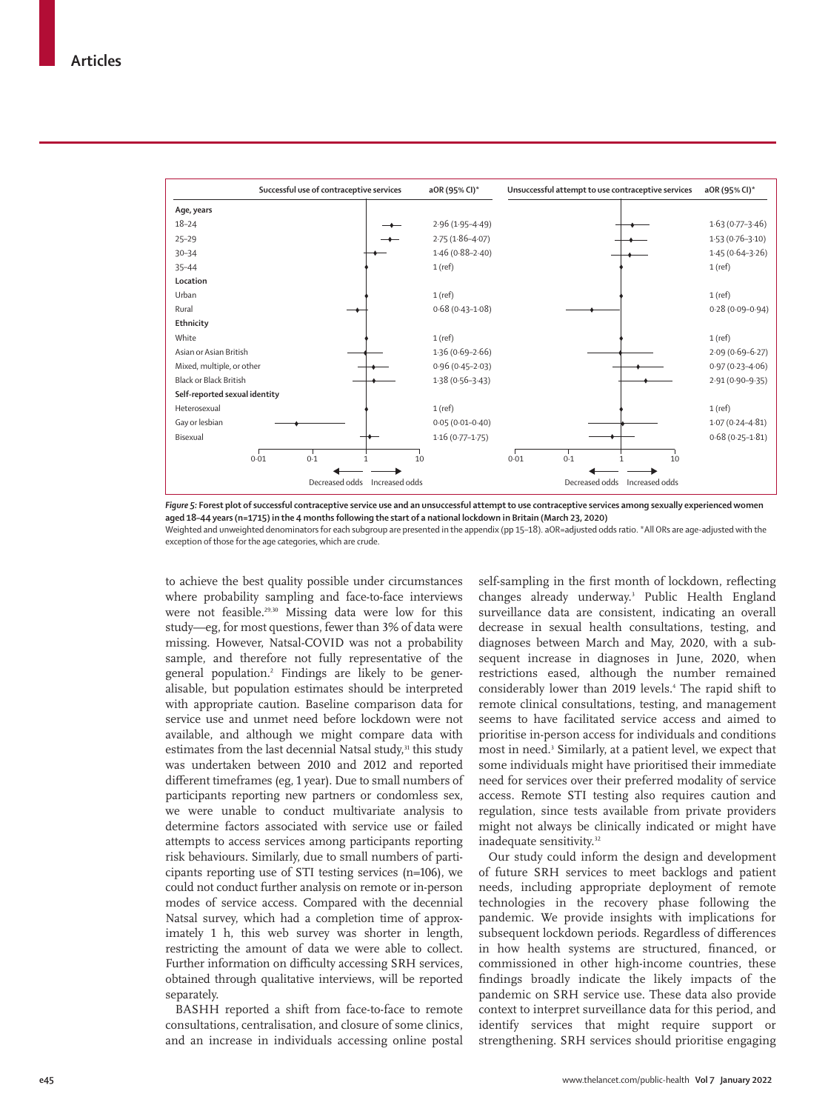

*Figure 5:* **Forest plot of successful contraceptive service use and an unsuccessful attempt to use contraceptive services among sexually experienced women aged 18–44 years (n=1715) in the 4 months following the start of a national lockdown in Britain (March 23, 2020)**  Weighted and unweighted denominators for each subgroup are presented in the appendix (pp 15–18). aOR=adjusted odds ratio. \*All ORs are age-adjusted with the exception of those for the age categories, which are crude.

to achieve the best quality possible under circumstances where probability sampling and face-to-face interviews were not feasible.<sup>29,30</sup> Missing data were low for this study—eg, for most questions, fewer than 3% of data were missing. However, Natsal-COVID was not a probability sample, and therefore not fully representative of the general population.2 Findings are likely to be generalisable, but population estimates should be interpreted with appropriate caution. Baseline comparison data for service use and unmet need before lockdown were not available, and although we might compare data with estimates from the last decennial Natsal study,<sup>31</sup> this study was undertaken between 2010 and 2012 and reported different timeframes (eg, 1 year). Due to small numbers of participants reporting new partners or condomless sex, we were unable to conduct multivariate analysis to determine factors associated with service use or failed attempts to access services among participants reporting risk behaviours. Similarly, due to small numbers of participants reporting use of STI testing services (n=106), we could not conduct further analysis on remote or in-person modes of service access. Compared with the decennial Natsal survey, which had a completion time of approximately 1 h, this web survey was shorter in length, restricting the amount of data we were able to collect. Further information on difficulty accessing SRH services, obtained through qualitative interviews, will be reported separately.

BASHH reported a shift from face-to-face to remote consultations, centralisation, and closure of some clinics, and an increase in individuals accessing online postal self-sampling in the first month of lockdown, reflecting changes already underway.3 Public Health England surveillance data are consistent, indicating an overall decrease in sexual health consultations, testing, and diagnoses between March and May, 2020, with a subsequent increase in diagnoses in June, 2020, when restrictions eased, although the number remained considerably lower than 2019 levels.4 The rapid shift to remote clinical consultations, testing, and management seems to have facilitated service access and aimed to prioritise in-person access for individuals and conditions most in need.<sup>3</sup> Similarly, at a patient level, we expect that some individuals might have prioritised their immediate need for services over their preferred modality of service access. Remote STI testing also requires caution and regulation, since tests available from private providers might not always be clinically indicated or might have inadequate sensitivity.<sup>32</sup>

Our study could inform the design and development of future SRH services to meet backlogs and patient needs, including appropriate deployment of remote technologies in the recovery phase following the pandemic. We provide insights with implications for subsequent lockdown periods. Regardless of differences in how health systems are structured, financed, or commissioned in other high-income countries, these findings broadly indicate the likely impacts of the pandemic on SRH service use. These data also provide context to interpret surveillance data for this period, and identify services that might require support or strengthening. SRH services should prioritise engaging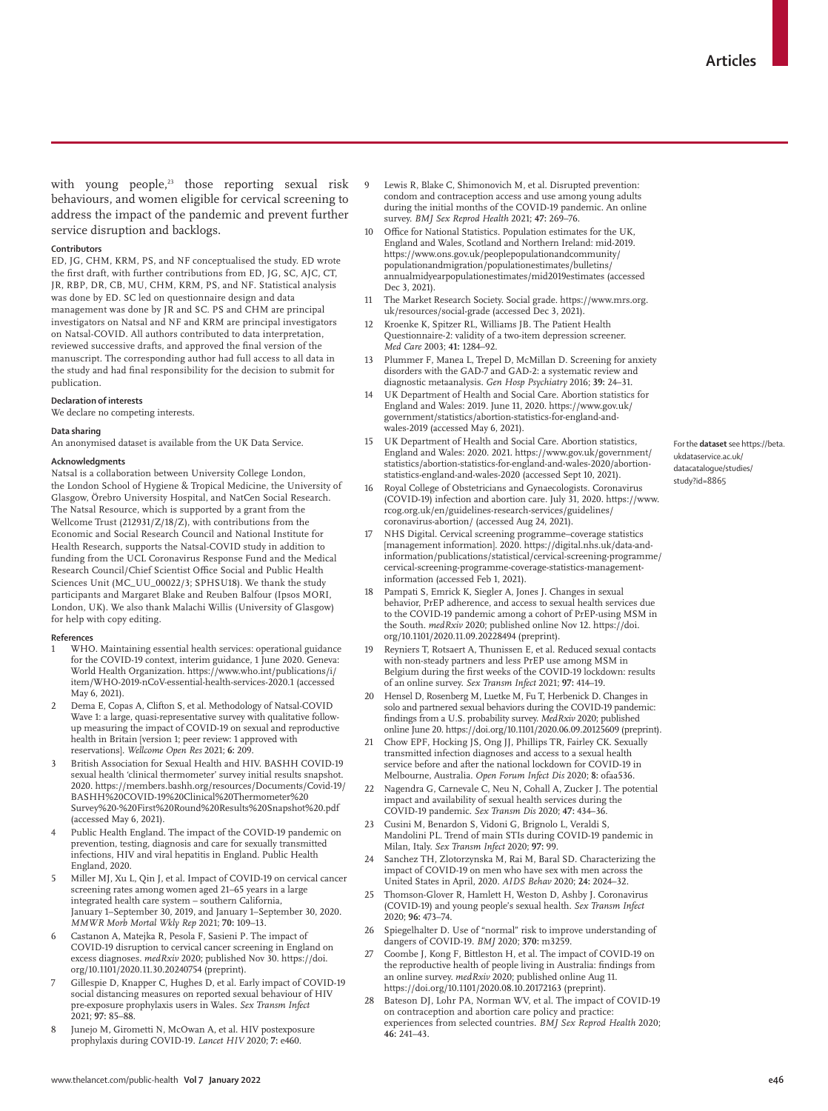with young people, $23$  those reporting sexual risk behaviours, and women eligible for cervical screening to address the impact of the pandemic and prevent further service disruption and backlogs.

#### **Contributors**

ED, JG, CHM, KRM, PS, and NF conceptualised the study. ED wrote the first draft, with further contributions from ED, JG, SC, AJC, CT, JR, RBP, DR, CB, MU, CHM, KRM, PS, and NF. Statistical analysis was done by ED. SC led on questionnaire design and data management was done by JR and SC. PS and CHM are principal investigators on Natsal and NF and KRM are principal investigators on Natsal-COVID. All authors contributed to data interpretation, reviewed successive drafts, and approved the final version of the manuscript. The corresponding author had full access to all data in the study and had final responsibility for the decision to submit for publication.

#### **Declaration of interests**

We declare no competing interests.

#### **Data sharing**

An anonymised [dataset](https://beta.ukdataservice.ac.uk/datacatalogue/studies/study?id=8865) is available from the UK Data Service.

#### **Acknowledgments**

Natsal is a collaboration between University College London, the London School of Hygiene & Tropical Medicine, the University of Glasgow, Örebro University Hospital, and NatCen Social Research. The Natsal Resource, which is supported by a grant from the Wellcome Trust (212931/Z/18/Z), with contributions from the Economic and Social Research Council and National Institute for Health Research, supports the Natsal-COVID study in addition to funding from the UCL Coronavirus Response Fund and the Medical Research Council/Chief Scientist Office Social and Public Health Sciences Unit (MC\_UU\_00022/3; SPHSU18). We thank the study participants and Margaret Blake and Reuben Balfour (Ipsos MORI, London, UK). We also thank Malachi Willis (University of Glasgow) for help with copy editing.

#### **References**

- WHO. Maintaining essential health services: operational guidance for the COVID-19 context, interim guidance, 1 June 2020. Geneva: World Health Organization. [https://www.who.int/publications/i/](https://www.who.int/publications/i/item/WHO-2019-nCoV-essential-health-services-2020.1) [item/WHO-2019-nCoV-essential-health-services-2020.1](https://www.who.int/publications/i/item/WHO-2019-nCoV-essential-health-services-2020.1) (accessed May 6, 2021).
- 2 Dema E, Copas A, Clifton S, et al. Methodology of Natsal-COVID Wave 1: a large, quasi-representative survey with qualitative followup measuring the impact of COVID-19 on sexual and reproductive health in Britain [version 1; peer review: 1 approved with reservations]. *Wellcome Open Res* 2021; **6:** 209.
- 3 British Association for Sexual Health and HIV. BASHH COVID-19 sexual health 'clinical thermometer' survey initial results snapshot. 2020. [https://members.bashh.org/resources/Documents/Covid-19/](https://members.bashh.org/resources/Documents/Covid-19/BASHH%20COVID-19%20Clinical%20Thermometer%20Survey%20-%20First%20Round%20Results%20Snapshot%20.pdf) [BASHH%20COVID-19%20Clinical%20Thermometer%20](https://members.bashh.org/resources/Documents/Covid-19/BASHH%20COVID-19%20Clinical%20Thermometer%20Survey%20-%20First%20Round%20Results%20Snapshot%20.pdf) [Survey%20-%20First%20Round%20Results%20Snapshot%20.pdf](https://members.bashh.org/resources/Documents/Covid-19/BASHH%20COVID-19%20Clinical%20Thermometer%20Survey%20-%20First%20Round%20Results%20Snapshot%20.pdf) (accessed May 6, 2021).
- Public Health England. The impact of the COVID-19 pandemic on prevention, testing, diagnosis and care for sexually transmitted infections, HIV and viral hepatitis in England. Public Health England, 2020.
- 5 Miller MJ, Xu L, Qin J, et al. Impact of COVID-19 on cervical cancer screening rates among women aged 21–65 years in a large integrated health care system – southern California, January 1–September 30, 2019, and January 1–September 30, 2020. *MMWR Morb Mortal Wkly Rep* 2021; **70:** 109–13.
- 6 Castanon A, Matejka R, Pesola F, Sasieni P. The impact of COVID-19 disruption to cervical cancer screening in England on excess diagnoses. *medRxiv* 2020; published Nov 30. [https://doi.](https://doi.org/10.1101/2020.11.30.20240754) [org/10.1101/2020.11.30.20240754](https://doi.org/10.1101/2020.11.30.20240754) (preprint).
- Gillespie D, Knapper C, Hughes D, et al. Early impact of COVID-19 social distancing measures on reported sexual behaviour of HIV pre-exposure prophylaxis users in Wales. *Sex Transm Infect* 2021; **97:** 85–88.
- Junejo M, Girometti N, McOwan A, et al. HIV postexposure prophylaxis during COVID-19. *Lancet HIV* 2020; **7:** e460.
- Lewis R, Blake C, Shimonovich M, et al. Disrupted prevention: condom and contraception access and use among young adults during the initial months of the COVID-19 pandemic. An online survey. *BMJ Sex Reprod Health* 2021; **47:** 269–76.
- 10 Office for National Statistics. Population estimates for the UK, England and Wales, Scotland and Northern Ireland: mid-2019. https://www.ons.gov.uk/peoplepopulationandcommunity/ populationandmigration/populationestimates/bulletins/ annualmidyearpopulationestimates/mid2019estimates (accessed Dec 3, 2021).
- 11 The Market Research Society. Social grade. https://www.mrs.org. uk/resources/social-grade (accessed Dec 3, 2021).
- 12 Kroenke K, Spitzer RL, Williams JB. The Patient Health Questionnaire-2: validity of a two-item depression screener. *Med Care* 2003; **41:** 1284–92.
- Plummer F, Manea L, Trepel D, McMillan D. Screening for anxiety disorders with the GAD-7 and GAD-2: a systematic review and diagnostic metaanalysis. *Gen Hosp Psychiatry* 2016; **39:** 24–31.
- UK Department of Health and Social Care. Abortion statistics for England and Wales: 2019. June 11, 2020. [https://www.gov.uk/](https://www.gov.uk/government/statistics/abortion-statistics-for-england-and-wales-2019) [government/statistics/abortion-statistics-for-england-and](https://www.gov.uk/government/statistics/abortion-statistics-for-england-and-wales-2019)[wales-2019](https://www.gov.uk/government/statistics/abortion-statistics-for-england-and-wales-2019) (accessed May 6, 2021).
- 15 UK Department of Health and Social Care. Abortion statistics, England and Wales: 2020. 2021. [https://www.gov.uk/government/](https://www.gov.uk/government/statistics/abortion-statistics-for-england-and-wales-2020/abortion-statistics-england-and-wales-2020) [statistics/abortion-statistics-for-england-and-wales-2020/abortion](https://www.gov.uk/government/statistics/abortion-statistics-for-england-and-wales-2020/abortion-statistics-england-and-wales-2020)[statistics-england-and-wales-2020](https://www.gov.uk/government/statistics/abortion-statistics-for-england-and-wales-2020/abortion-statistics-england-and-wales-2020) (accessed Sept 10, 2021).
- 16 Royal College of Obstetricians and Gynaecologists. Coronavirus (COVID-19) infection and abortion care. July 31, 2020. [https://www.](https://www.rcog.org.uk/en/guidelines-research-services/guidelines/coronavirus-abortion/) [rcog.org.uk/en/guidelines-research-services/guidelines/](https://www.rcog.org.uk/en/guidelines-research-services/guidelines/coronavirus-abortion/) [coronavirus-abortion/](https://www.rcog.org.uk/en/guidelines-research-services/guidelines/coronavirus-abortion/) (accessed Aug 24, 2021).
- 17 NHS Digital. Cervical screening programme–coverage statistics [management information]. 2020. [https://digital.nhs.uk/data-and](https://digital.nhs.uk/data-and-information/publications/statistical/cervical-screening-programme/cervical-screening-programme-coverage-statistics-management-information)[information/publications/statistical/cervical-screening-programme/](https://digital.nhs.uk/data-and-information/publications/statistical/cervical-screening-programme/cervical-screening-programme-coverage-statistics-management-information) [cervical-screening-programme-coverage-statistics-management](https://digital.nhs.uk/data-and-information/publications/statistical/cervical-screening-programme/cervical-screening-programme-coverage-statistics-management-information)[information](https://digital.nhs.uk/data-and-information/publications/statistical/cervical-screening-programme/cervical-screening-programme-coverage-statistics-management-information) (accessed Feb 1, 2021).
- Pampati S, Emrick K, Siegler A, Jones J. Changes in sexual behavior, PrEP adherence, and access to sexual health services due to the COVID-19 pandemic among a cohort of PrEP-using MSM in the South. *medRxiv* 2020; published online Nov 12. https://doi. org/10.1101/2020.11.09.20228494 (preprint).
- 19 Reyniers T, Rotsaert A, Thunissen E, et al. Reduced sexual contacts with non-steady partners and less PrEP use among MSM in Belgium during the first weeks of the COVID-19 lockdown: results of an online survey. *Sex Transm Infect* 2021; **97:** 414–19.
- Hensel D, Rosenberg M, Luetke M, Fu T, Herbenick D. Changes in solo and partnered sexual behaviors during the COVID-19 pandemic: findings from a U.S. probability survey. *MedRxiv* 2020; published online June 20. <https://doi.org/10.1101/2020.06.09.20125609> (preprint).
- 21 Chow EPF, Hocking JS, Ong JJ, Phillips TR, Fairley CK. Sexually transmitted infection diagnoses and access to a sexual health service before and after the national lockdown for COVID-19 in Melbourne, Australia. *Open Forum Infect Dis* 2020; **8:** ofaa536.
- 22 Nagendra G, Carnevale C, Neu N, Cohall A, Zucker J. The potential impact and availability of sexual health services during the COVID-19 pandemic. *Sex Transm Dis* 2020; **47:** 434–36.
- 23 Cusini M, Benardon S, Vidoni G, Brignolo L, Veraldi S, Mandolini PL. Trend of main STIs during COVID-19 pandemic in Milan, Italy. *Sex Transm Infect* 2020; **97:** 99.
- 24 Sanchez TH, Zlotorzynska M, Rai M, Baral SD. Characterizing the impact of COVID-19 on men who have sex with men across the United States in April, 2020. *AIDS Behav* 2020; **24:** 2024–32.
- 25 Thomson-Glover R, Hamlett H, Weston D, Ashby J. Coronavirus (COVID-19) and young people's sexual health. *Sex Transm Infect* 2020; **96:** 473–74.
- 26 Spiegelhalter D. Use of "normal" risk to improve understanding of dangers of COVID-19. *BMJ* 2020; **370:** m3259.
- Coombe J, Kong F, Bittleston H, et al. The impact of COVID-19 on the reproductive health of people living in Australia: findings from an online survey. *medRxiv* 2020; published online Aug 11. <https://doi.org/10.1101/2020.08.10.20172163> (preprint).
- Bateson DJ, Lohr PA, Norman WV, et al. The impact of COVID-19 on contraception and abortion care policy and practice: experiences from selected countries. *BMJ Sex Reprod Health* 2020; **46:** 241–43.

For the **dataset** see https://beta. ukdataservice.ac.uk/ datacatalogue/studies/ study?id=8865